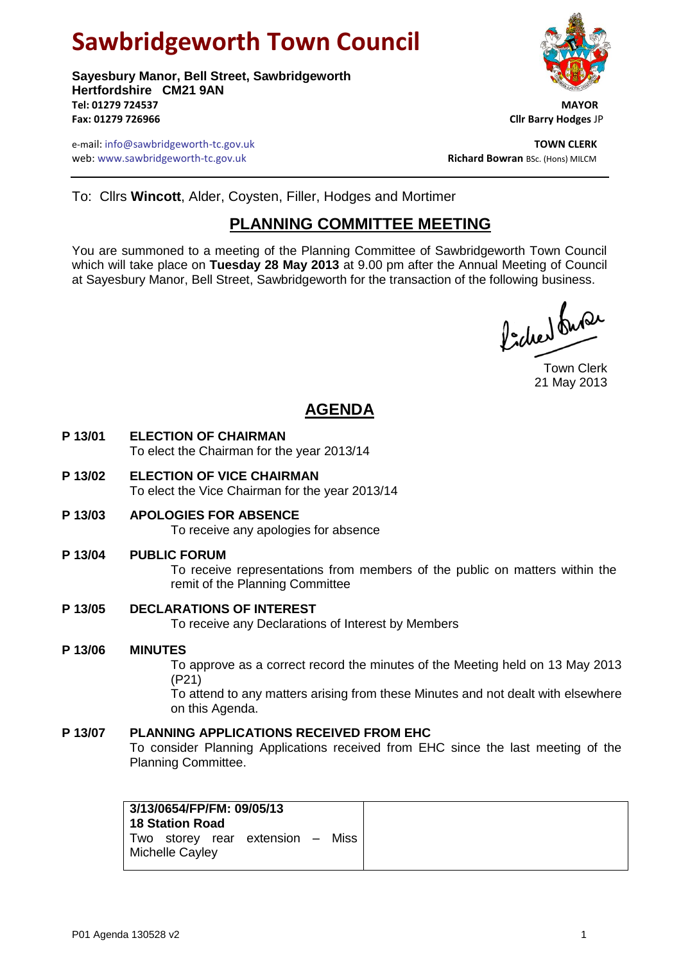# **Sawbridgeworth Town Council**

**Sayesbury Manor, Bell Street, Sawbridgeworth Hertfordshire CM21 9AN Tel: 01279 724537 MAYOR Fax: 01279 726966 Cllr Barry Hodges** JP

e-mail: info@sawbridgeworth-tc.gov.uk **TOWN CLERK** web: www.sawbridgeworth-tc.gov.uk



To: Cllrs **Wincott**, Alder, Coysten, Filler, Hodges and Mortimer

## **PLANNING COMMITTEE MEETING**

You are summoned to a meeting of the Planning Committee of Sawbridgeworth Town Council which will take place on **Tuesday 28 May 2013** at 9.00 pm after the Annual Meeting of Council at Sayesbury Manor, Bell Street, Sawbridgeworth for the transaction of the following business.

ladres burer

Town Clerk 21 May 2013

# **AGENDA**

- **P 13/01 ELECTION OF CHAIRMAN** To elect the Chairman for the year 2013/14
- **P 13/02 ELECTION OF VICE CHAIRMAN** To elect the Vice Chairman for the year 2013/14
- **P 13/03 APOLOGIES FOR ABSENCE** To receive any apologies for absence

#### **P 13/04 PUBLIC FORUM**

To receive representations from members of the public on matters within the remit of the Planning Committee

#### **P 13/05 DECLARATIONS OF INTEREST**

To receive any Declarations of Interest by Members

#### **P 13/06 MINUTES**

To approve as a correct record the minutes of the Meeting held on 13 May 2013 (P21)

To attend to any matters arising from these Minutes and not dealt with elsewhere on this Agenda.

## **P 13/07 PLANNING APPLICATIONS RECEIVED FROM EHC**

To consider Planning Applications received from EHC since the last meeting of the Planning Committee.

| 3/13/0654/FP/FM: 09/05/13<br>18 Station Road |                                  |  |
|----------------------------------------------|----------------------------------|--|
| Michelle Cayley                              | Two storey rear extension – Miss |  |